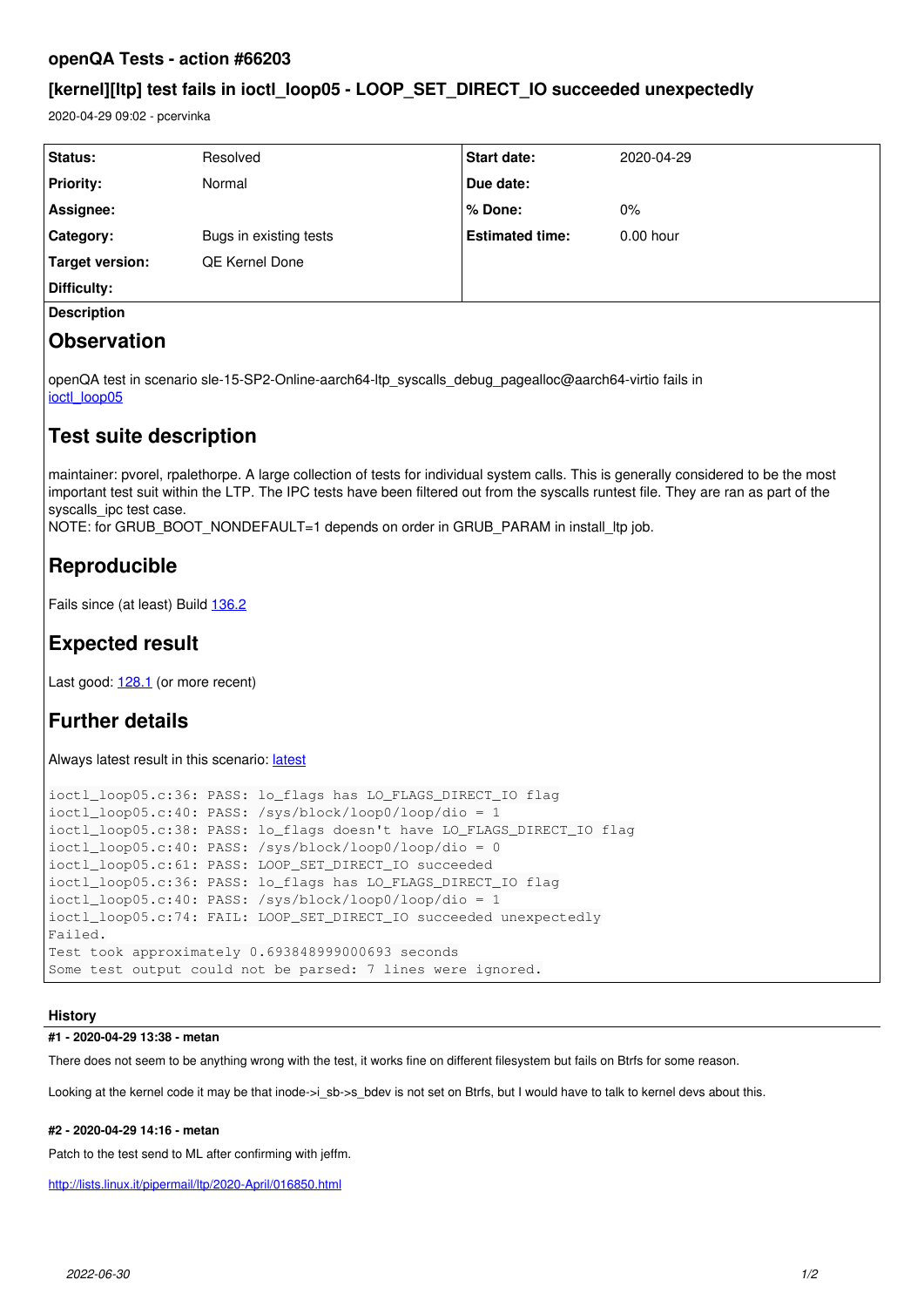### **openQA Tests - action #66203**

### **[kernel][ltp] test fails in ioctl\_loop05 - LOOP\_SET\_DIRECT\_IO succeeded unexpectedly**

2020-04-29 09:02 - pcervinka

| <b>Status:</b>     | Resolved               | <b>Start date:</b>     | 2020-04-29  |  |
|--------------------|------------------------|------------------------|-------------|--|
| <b>Priority:</b>   | Normal                 | Due date:              |             |  |
| Assignee:          |                        | % Done:                | $0\%$       |  |
| <b>Category:</b>   | Bugs in existing tests | <b>Estimated time:</b> | $0.00$ hour |  |
| Target version:    | <b>QE Kernel Done</b>  |                        |             |  |
| Difficulty:        |                        |                        |             |  |
| <b>Description</b> |                        |                        |             |  |
|                    |                        |                        |             |  |

### **Observation**

openQA test in scenario sle-15-SP2-Online-aarch64-ltp\_syscalls\_debug\_pagealloc@aarch64-virtio fails in [ioctl\\_loop05](https://openqa.suse.de/tests/4177433/modules/ioctl_loop05/steps/7)

## **Test suite description**

maintainer: pvorel, rpalethorpe. A large collection of tests for individual system calls. This is generally considered to be the most important test suit within the LTP. The IPC tests have been filtered out from the syscalls runtest file. They are ran as part of the syscalls ipc test case.

NOTE: for GRUB\_BOOT\_NONDEFAULT=1 depends on order in GRUB\_PARAM in install\_ltp job.

# **Reproducible**

Fails since (at least) Build [136.2](https://openqa.suse.de/tests/3867118)

## **Expected result**

Last good: [128.1](https://openqa.suse.de/tests/3834691) (or more recent)

# **Further details**

Always [latest](https://openqa.suse.de/tests/latest?arch=aarch64&distri=sle&flavor=Online&machine=aarch64-virtio&test=ltp_syscalls_debug_pagealloc&version=15-SP2) result in this scenario: latest

```
ioctl_loop05.c:36: PASS: lo_flags has LO_FLAGS_DIRECT_IO flag
ioctl_loop05.c:40: PASS: /sys/block/loop0/loop/dio = 1
ioctl_loop05.c:38: PASS: lo_flags doesn't have LO_FLAGS_DIRECT_IO flag
ioctl_loop05.c:40: PASS: /sys/block/loop0/loop/dio = 0
ioctl_loop05.c:61: PASS: LOOP_SET_DIRECT_IO succeeded
ioctl_loop05.c:36: PASS: lo_flags has LO_FLAGS_DIRECT_IO flag
ioctl_loop05.c:40: PASS: /sys/block/loop0/loop/dio = 1
ioctl_loop05.c:74: FAIL: LOOP_SET_DIRECT_IO succeeded unexpectedly
Failed.
Test took approximately 0.693848999000693 seconds
Some test output could not be parsed: 7 lines were ignored.
```
### **History**

#### **#1 - 2020-04-29 13:38 - metan**

There does not seem to be anything wrong with the test, it works fine on different filesystem but fails on Btrfs for some reason.

Looking at the kernel code it may be that inode->i\_sb->s\_bdev is not set on Btrfs, but I would have to talk to kernel devs about this.

### **#2 - 2020-04-29 14:16 - metan**

Patch to the test send to ML after confirming with jeffm.

<http://lists.linux.it/pipermail/ltp/2020-April/016850.html>